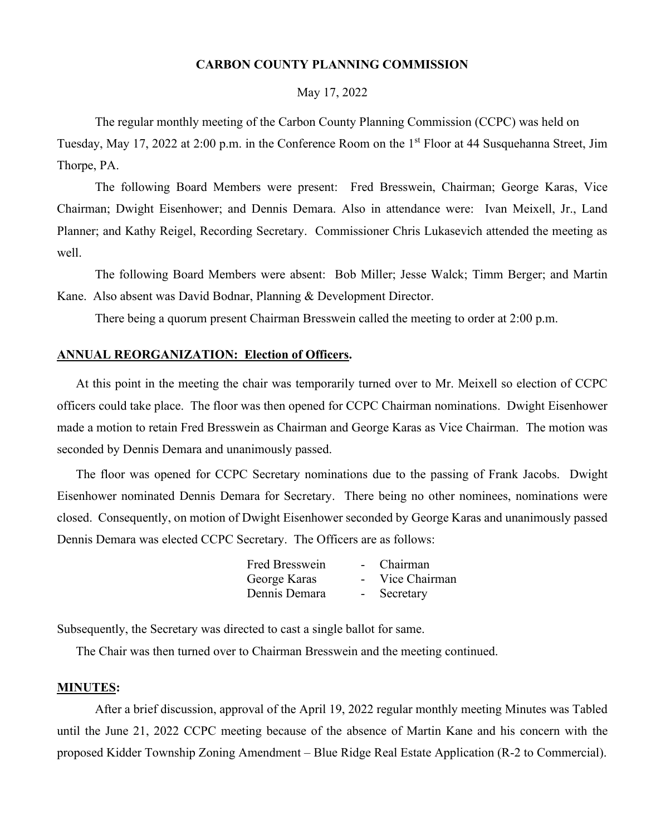#### **CARBON COUNTY PLANNING COMMISSION**

May 17, 2022

The regular monthly meeting of the Carbon County Planning Commission (CCPC) was held on Tuesday, May 17, 2022 at 2:00 p.m. in the Conference Room on the 1st Floor at 44 Susquehanna Street, Jim Thorpe, PA.

The following Board Members were present: Fred Bresswein, Chairman; George Karas, Vice Chairman; Dwight Eisenhower; and Dennis Demara. Also in attendance were: Ivan Meixell, Jr., Land Planner; and Kathy Reigel, Recording Secretary. Commissioner Chris Lukasevich attended the meeting as well.

The following Board Members were absent: Bob Miller; Jesse Walck; Timm Berger; and Martin Kane. Also absent was David Bodnar, Planning & Development Director.

There being a quorum present Chairman Bresswein called the meeting to order at 2:00 p.m.

## **ANNUAL REORGANIZATION: Election of Officers.**

At this point in the meeting the chair was temporarily turned over to Mr. Meixell so election of CCPC officers could take place. The floor was then opened for CCPC Chairman nominations. Dwight Eisenhower made a motion to retain Fred Bresswein as Chairman and George Karas as Vice Chairman. The motion was seconded by Dennis Demara and unanimously passed.

The floor was opened for CCPC Secretary nominations due to the passing of Frank Jacobs. Dwight Eisenhower nominated Dennis Demara for Secretary. There being no other nominees, nominations were closed. Consequently, on motion of Dwight Eisenhower seconded by George Karas and unanimously passed Dennis Demara was elected CCPC Secretary. The Officers are as follows:

| <b>Fred Bresswein</b> | $\sim$        | Chairman      |
|-----------------------|---------------|---------------|
| George Karas          | $\sim$ $\sim$ | Vice Chairman |
| Dennis Demara         | $\sim$        | Secretary     |

Subsequently, the Secretary was directed to cast a single ballot for same.

The Chair was then turned over to Chairman Bresswein and the meeting continued.

#### **MINUTES:**

After a brief discussion, approval of the April 19, 2022 regular monthly meeting Minutes was Tabled until the June 21, 2022 CCPC meeting because of the absence of Martin Kane and his concern with the proposed Kidder Township Zoning Amendment – Blue Ridge Real Estate Application (R-2 to Commercial).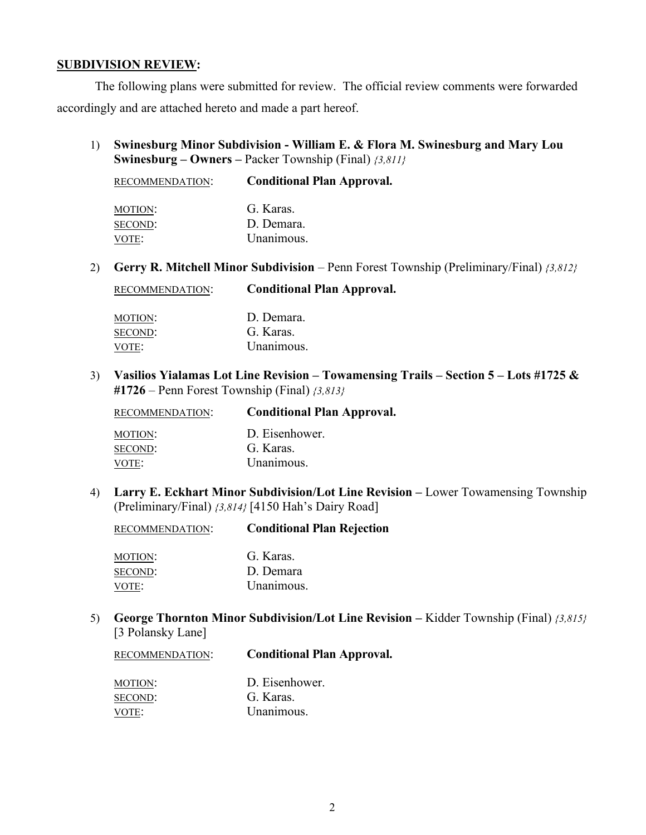#### **SUBDIVISION REVIEW:**

The following plans were submitted for review. The official review comments were forwarded accordingly and are attached hereto and made a part hereof.

1) **Swinesburg Minor Subdivision - William E. & Flora M. Swinesburg and Mary Lou Swinesburg – Owners –** Packer Township (Final) *{3,811}*

| RECOMMENDATION: | <b>Conditional Plan Approval.</b> |
|-----------------|-----------------------------------|
| MOTION:         | G. Karas.                         |
| SECOND:         | D. Demara.                        |
| VOTE:           | Unanimous.                        |

2) **Gerry R. Mitchell Minor Subdivision** – Penn Forest Township (Preliminary/Final) *{3,812}*

| RECOMMENDATION: | <b>Conditional Plan Approval.</b> |  |
|-----------------|-----------------------------------|--|
|-----------------|-----------------------------------|--|

| MOTION: | D. Demara. |
|---------|------------|
| SECOND: | G. Karas   |
| VOTE:   | Unanimous. |

3) **Vasilios Yialamas Lot Line Revision – Towamensing Trails – Section 5 – Lots #1725 & #1726** – Penn Forest Township (Final) *{3,813}*

| RECOMMENDATION: | <b>Conditional Plan Approval.</b> |
|-----------------|-----------------------------------|
| MOTION:         | D. Eisenhower.                    |
| SECOND:         | G. Karas.                         |
| VOTE:           | Unanimous.                        |

4) **Larry E. Eckhart Minor Subdivision/Lot Line Revision –** Lower Towamensing Township (Preliminary/Final) *{3,814}* [4150 Hah's Dairy Road]

RECOMMENDATION: **Conditional Plan Rejection**

| MOTION: | G. Karas.  |
|---------|------------|
| SECOND: | D. Demara  |
| VOTE:   | Unanimous. |

## 5) **George Thornton Minor Subdivision/Lot Line Revision –** Kidder Township (Final) *{3,815}* [3 Polansky Lane]

| RECOMMENDATION:    | <b>Conditional Plan Approval.</b> |
|--------------------|-----------------------------------|
| MOTION:<br>SECOND: | D. Eisenhower.<br>G. Karas.       |
| VOTE:              | Unanimous.                        |